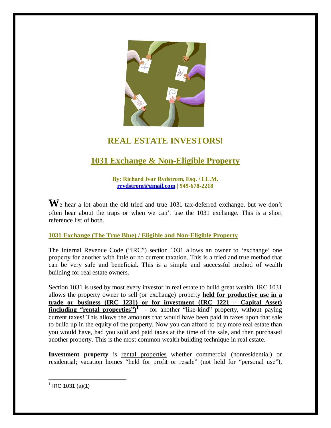

## **REAL ESTATE INVESTORS!**

# **1031 Exchange & Non-Eligible Property**

**By: Richard Ivar Rydstrom, Esq. / LL.M. [rrydstrom@gmail.com](mailto:rrydstrom@gmail.com) | 949-678-2218**

We hear a lot about the old tried and true 1031 tax-deferred exchange, but we don't often hear about the traps or when we can't use the 1031 exchange. This is a short reference list of both.

**1031 Exchange (The True Blue) / Eligible and Non-Eligible Property**

The Internal Revenue Code ("IRC") section 1031 allows an owner to 'exchange' one property for another with little or no current taxation. This is a tried and true method that can be very safe and beneficial. This is a simple and successful method of wealth building for real estate owners.

Section 1031 is used by most every investor in real estate to build great wealth. IRC 1031 allows the property owner to sell (or exchange) property **held for productive use in a trade or business (IRC 1231) or for investment (IRC 1221 – Capital Asset) (including "rental properties")**<sup>1</sup> - for another "like-kind" property, without paying current taxes! This allows the amounts that would have been paid in taxes upon that sale to build up in the equity of the property. Now you can afford to buy more real estate than you would have, had you sold and paid taxes at the time of the sale, and then purchased another property. This is the most common wealth building technique in real estate.

**Investment property** is rental properties whether commercial (nonresidential) or residential; vacation homes "held for profit or resale" (not held for "personal use"),

 $1$  IRC 1031 (a)(1)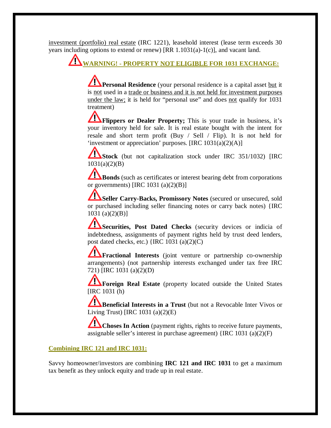investment (portfolio) real estate (IRC 1221), leasehold interest (lease term exceeds 30 years including options to extend or renew)  $[RR 1.1031(a)-1(c)]$ , and vacant land.

# **WARNING! - PROPERTY NOT ELIGIBLE FOR 1031 EXCHANGE:**

**Personal Residence** (your personal residence is a capital asset but it is not used in a trade or business and it is not held for investment purposes under the law; it is held for "personal use" and does not qualify for 1031 treatment)

**The Flippers or Dealer Property;** This is your trade in business, it's your inventory held for sale. It is real estate bought with the intent for resale and short term profit (Buy / Sell / Flip). It is not held for 'investment or appreciation' purposes.  $[IRC 1031(a)(2)(A)]$ 

**Stock** (but not capitalization stock under IRC 351/1032) [IRC  $1031(a)(2)(B)$ 

**Bonds** (such as certificates or interest bearing debt from corporations or governments) [IRC  $1031$  (a)(2)(B)]

**Seller Carry-Backs, Promissory Notes** (secured or unsecured, sold or purchased including seller financing notes or carry back notes) {IRC 1031 (a)(2)(B)]

**Securities, Post Dated Checks** (security devices or indicia of indebtedness, assignments of payment rights held by trust deed lenders, post dated checks, etc.)  $\{ \text{IRC } 1031 \text{ (a)}(2)(\text{C}) \}$ 

**Fractional Interests** (joint venture or partnership co-ownership arrangements) (not partnership interests exchanged under tax free IRC 721) [IRC 1031 (a)(2)(D)

**Foreign Real Estate** (property located outside the United States [IRC 1031 (h)

**Beneficial Interests in a Trust** (but not a Revocable Inter Vivos or Living Trust) [IRC  $1031$  (a)(2)(E)

**Choses In Action** (payment rights, rights to receive future payments, assignable seller's interest in purchase agreement) {IRC 1031 (a)(2)(F)

## **Combining IRC 121 and IRC 1031:**

Savvy homeowner/investors are combining **IRC 121 and IRC 1031** to get a maximum tax benefit as they unlock equity and trade up in real estate.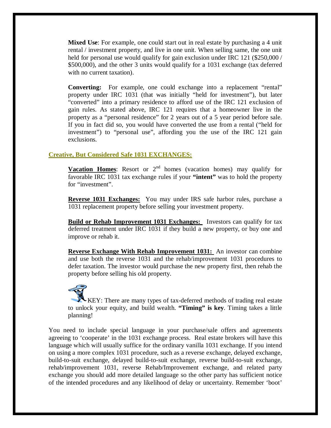**Mixed Use**: For example, one could start out in real estate by purchasing a 4 unit rental / investment property, and live in one unit. When selling same, the one unit held for personal use would qualify for gain exclusion under IRC 121 (\$250,000 / \$500,000), and the other 3 units would qualify for a 1031 exchange (tax deferred with no current taxation).

**Converting:** For example, one could exchange into a replacement "rental" property under IRC 1031 (that was initially "held for investment"), but later "converted" into a primary residence to afford use of the IRC 121 exclusion of gain rules. As stated above, IRC 121 requires that a homeowner live in the property as a "personal residence" for 2 years out of a 5 year period before sale. If you in fact did so, you would have converted the use from a rental ("held for investment") to "personal use", affording you the use of the IRC 121 gain exclusions.

### **Creative, But Considered Safe 1031 EXCHANGES:**

**Vacation Homes:** Resort or 2<sup>nd</sup> homes (vacation homes) may qualify for favorable IRC 1031 tax exchange rules if your **"intent"** was to hold the property for "investment".

**Reverse 1031 Exchanges:** You may under IRS safe harbor rules, purchase a 1031 replacement property before selling your investment property.

**Build or Rehab Improvement 1031 Exchanges:** Investors can qualify for tax deferred treatment under IRC 1031 if they build a new property, or buy one and improve or rehab it.

**Reverse Exchange With Rehab Improvement 1031:** An investor can combine and use both the reverse 1031 and the rehab/improvement 1031 procedures to defer taxation. The investor would purchase the new property first, then rehab the property before selling his old property.

KEY: There are many types of tax-deferred methods of trading real estate to unlock your equity, and build wealth. **"Timing" is key**. Timing takes a little planning!

You need to include special language in your purchase/sale offers and agreements agreeing to 'cooperate' in the 1031 exchange process. Real estate brokers will have this language which will usually suffice for the ordinary vanilla 1031 exchange. If you intend on using a more complex 1031 procedure, such as a reverse exchange, delayed exchange, build-to-suit exchange, delayed build-to-suit exchange, reverse build-to-suit exchange, rehab/improvement 1031, reverse Rehab/Improvement exchange, and related party exchange you should add more detailed language so the other party has sufficient notice of the intended procedures and any likelihood of delay or uncertainty. Remember 'boot'